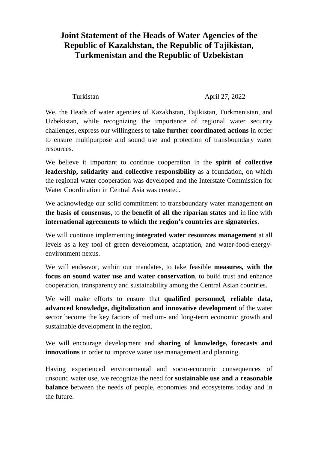## **Joint Statement of the Heads of Water Agencies of the Republic of Kazakhstan, the Republic of Tajikistan, Turkmenistan and the Republic of Uzbekistan**

## Turkistan April 27, 2022

We, the Heads of water agencies of Kazakhstan, Tajikistan, Turkmenistan, and Uzbekistan, while recognizing the importance of regional water security challenges, express our willingness to **take further coordinated actions** in order to ensure multipurpose and sound use and protection of transboundary water resources.

We believe it important to continue cooperation in the **spirit of collective leadership, solidarity and collective responsibility** as a foundation, on which the regional water cooperation was developed and the Interstate Commission for Water Coordination in Central Asia was created.

We acknowledge our solid commitment to transboundary water management **on the basis of consensus**, to the **benefit of all the riparian states** and in line with **international agreements to which the region's countries are signatories**.

We will continue implementing **integrated water resources management** at all levels as a key tool of green development, adaptation, and water-food-energyenvironment nexus.

We will endeavor, within our mandates, to take feasible **measures, with the focus on sound water use and water conservation**, to build trust and enhance cooperation, transparency and sustainability among the Central Asian countries.

We will make efforts to ensure that **qualified personnel, reliable data, advanced knowledge, digitalization and innovative development** of the water sector become the key factors of medium- and long-term economic growth and sustainable development in the region.

We will encourage development and **sharing of knowledge, forecasts and innovations** in order to improve water use management and planning.

Having experienced environmental and socio-economic consequences of unsound water use, we recognize the need for **sustainable use and a reasonable balance** between the needs of people, economies and ecosystems today and in the future.